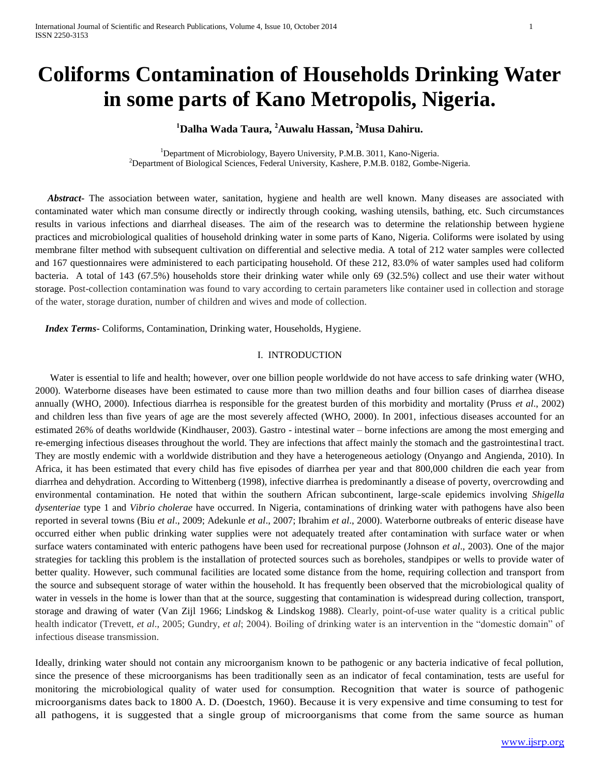# **Coliforms Contamination of Households Drinking Water in some parts of Kano Metropolis, Nigeria.**

# **<sup>1</sup>Dalha Wada Taura, <sup>2</sup>Auwalu Hassan, <sup>2</sup>Musa Dahiru.**

<sup>1</sup>Department of Microbiology, Bayero University, P.M.B. 3011, Kano-Nigeria. <sup>2</sup>Department of Biological Sciences, Federal University, Kashere, P.M.B. 0182, Gombe-Nigeria.

 *Abstract***-** The association between water, sanitation, hygiene and health are well known. Many diseases are associated with contaminated water which man consume directly or indirectly through cooking, washing utensils, bathing, etc. Such circumstances results in various infections and diarrheal diseases. The aim of the research was to determine the relationship between hygiene practices and microbiological qualities of household drinking water in some parts of Kano, Nigeria. Coliforms were isolated by using membrane filter method with subsequent cultivation on differential and selective media. A total of 212 water samples were collected and 167 questionnaires were administered to each participating household. Of these 212, 83.0% of water samples used had coliform bacteria. A total of 143 (67.5%) households store their drinking water while only 69 (32.5%) collect and use their water without storage. Post-collection contamination was found to vary according to certain parameters like container used in collection and storage of the water, storage duration, number of children and wives and mode of collection.

 *Index Terms***-** Coliforms, Contamination, Drinking water, Households, Hygiene.

### I. INTRODUCTION

 Water is essential to life and health; however, over one billion people worldwide do not have access to safe drinking water (WHO, 2000). Waterborne diseases have been estimated to cause more than two million deaths and four billion cases of diarrhea disease annually (WHO, 2000). Infectious diarrhea is responsible for the greatest burden of this morbidity and mortality (Pruss *et al*., 2002) and children less than five years of age are the most severely affected (WHO, 2000). In 2001, infectious diseases accounted for an estimated 26% of deaths worldwide (Kindhauser, 2003). Gastro - intestinal water – borne infections are among the most emerging and re-emerging infectious diseases throughout the world. They are infections that affect mainly the stomach and the gastrointestinal tract. They are mostly endemic with a worldwide distribution and they have a heterogeneous aetiology (Onyango and Angienda, 2010). In Africa, it has been estimated that every child has five episodes of diarrhea per year and that 800,000 children die each year from diarrhea and dehydration. According to Wittenberg (1998), infective diarrhea is predominantly a disease of poverty, overcrowding and environmental contamination. He noted that within the southern African subcontinent, large-scale epidemics involving *Shigella dysenteriae* type 1 and *Vibrio cholerae* have occurred. In Nigeria, contaminations of drinking water with pathogens have also been reported in several towns (Biu *et al*., 2009; Adekunle *et al*., 2007; Ibrahim *et al*., 2000). Waterborne outbreaks of enteric disease have occurred either when public drinking water supplies were not adequately treated after contamination with surface water or when surface waters contaminated with enteric pathogens have been used for recreational purpose (Johnson *et al*., 2003). One of the major strategies for tackling this problem is the installation of protected sources such as boreholes, standpipes or wells to provide water of better quality. However, such communal facilities are located some distance from the home, requiring collection and transport from the source and subsequent storage of water within the household. It has frequently been observed that the microbiological quality of water in vessels in the home is lower than that at the source, suggesting that contamination is widespread during collection, transport, storage and drawing of water (Van Zijl 1966; Lindskog & Lindskog 1988). Clearly, point-of-use water quality is a critical public health indicator (Trevett, *et al*., 2005; Gundry, *et al*; 2004). Boiling of drinking water is an intervention in the "domestic domain" of infectious disease transmission.

Ideally, drinking water should not contain any microorganism known to be pathogenic or any bacteria indicative of fecal pollution, since the presence of these microorganisms has been traditionally seen as an indicator of fecal contamination, tests are useful for monitoring the microbiological quality of water used for consumption. Recognition that water is source of pathogenic microorganisms dates back to 1800 A. D. (Doestch, 1960). Because it is very expensive and time consuming to test for all pathogens, it is suggested that a single group of microorganisms that come from the same source as human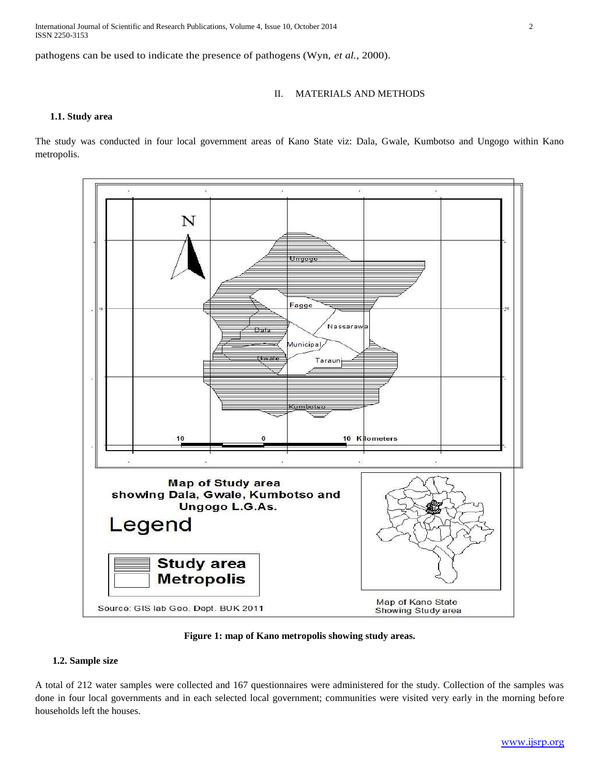International Journal of Scientific and Research Publications, Volume 4, Issue 10, October 2014 2 ISSN 2250-3153

pathogens can be used to indicate the presence of pathogens (Wyn, *et al.,* 2000).

## II. MATERIALS AND METHODS

#### **1.1. Study area**

The study was conducted in four local government areas of Kano State viz: Dala, Gwale, Kumbotso and Ungogo within Kano metropolis.



**Figure 1: map of Kano metropolis showing study areas.**

### **1.2. Sample size**

A total of 212 water samples were collected and 167 questionnaires were administered for the study. Collection of the samples was done in four local governments and in each selected local government; communities were visited very early in the morning before households left the houses.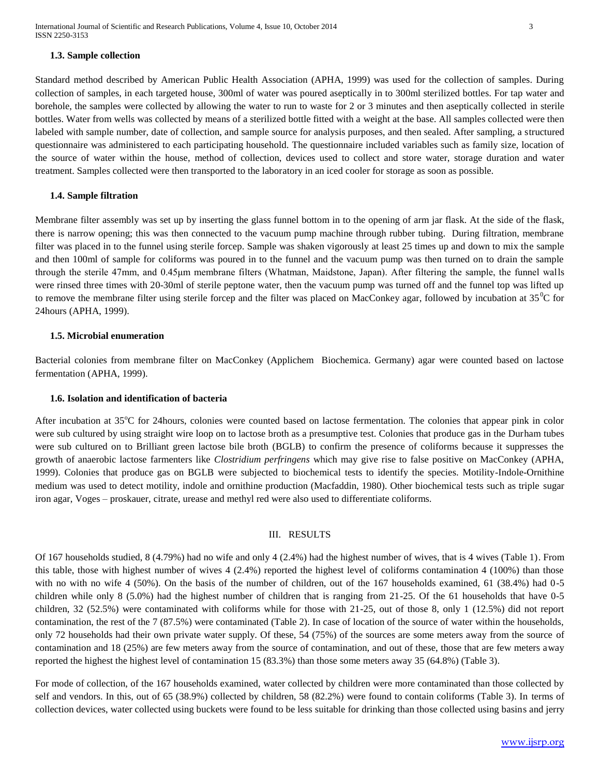#### **1.3. Sample collection**

Standard method described by American Public Health Association (APHA, 1999) was used for the collection of samples. During collection of samples, in each targeted house, 300ml of water was poured aseptically in to 300ml sterilized bottles. For tap water and borehole, the samples were collected by allowing the water to run to waste for 2 or 3 minutes and then aseptically collected in sterile bottles. Water from wells was collected by means of a sterilized bottle fitted with a weight at the base. All samples collected were then labeled with sample number, date of collection, and sample source for analysis purposes, and then sealed. After sampling, a structured questionnaire was administered to each participating household. The questionnaire included variables such as family size, location of the source of water within the house, method of collection, devices used to collect and store water, storage duration and water treatment. Samples collected were then transported to the laboratory in an iced cooler for storage as soon as possible.

#### **1.4. Sample filtration**

Membrane filter assembly was set up by inserting the glass funnel bottom in to the opening of arm jar flask. At the side of the flask, there is narrow opening; this was then connected to the vacuum pump machine through rubber tubing. During filtration, membrane filter was placed in to the funnel using sterile forcep. Sample was shaken vigorously at least 25 times up and down to mix the sample and then 100ml of sample for coliforms was poured in to the funnel and the vacuum pump was then turned on to drain the sample through the sterile 47mm, and 0.45μm membrane filters (Whatman, Maidstone, Japan). After filtering the sample, the funnel walls were rinsed three times with 20-30ml of sterile peptone water, then the vacuum pump was turned off and the funnel top was lifted up to remove the membrane filter using sterile forcep and the filter was placed on MacConkey agar, followed by incubation at  $35^{\circ}$ C for 24hours (APHA, 1999).

#### **1.5. Microbial enumeration**

Bacterial colonies from membrane filter on MacConkey (Applichem Biochemica. Germany) agar were counted based on lactose fermentation (APHA, 1999).

#### **1.6. Isolation and identification of bacteria**

After incubation at  $35^{\circ}$ C for 24 hours, colonies were counted based on lactose fermentation. The colonies that appear pink in color were sub cultured by using straight wire loop on to lactose broth as a presumptive test. Colonies that produce gas in the Durham tubes were sub cultured on to Brilliant green lactose bile broth (BGLB) to confirm the presence of coliforms because it suppresses the growth of anaerobic lactose farmenters like *Clostridium perfringens* which may give rise to false positive on MacConkey (APHA, 1999). Colonies that produce gas on BGLB were subjected to biochemical tests to identify the species. Motility-Indole-Ornithine medium was used to detect motility, indole and ornithine production (Macfaddin, 1980). Other biochemical tests such as triple sugar iron agar, Voges – proskauer, citrate, urease and methyl red were also used to differentiate coliforms.

#### III. RESULTS

Of 167 households studied, 8 (4.79%) had no wife and only 4 (2.4%) had the highest number of wives, that is 4 wives (Table 1). From this table, those with highest number of wives 4 (2.4%) reported the highest level of coliforms contamination 4 (100%) than those with no with no wife 4 (50%). On the basis of the number of children, out of the 167 households examined, 61 (38.4%) had 0-5 children while only 8 (5.0%) had the highest number of children that is ranging from 21-25. Of the 61 households that have 0-5 children, 32 (52.5%) were contaminated with coliforms while for those with 21-25, out of those 8, only 1 (12.5%) did not report contamination, the rest of the 7 (87.5%) were contaminated (Table 2). In case of location of the source of water within the households, only 72 households had their own private water supply. Of these, 54 (75%) of the sources are some meters away from the source of contamination and 18 (25%) are few meters away from the source of contamination, and out of these, those that are few meters away reported the highest the highest level of contamination 15 (83.3%) than those some meters away 35 (64.8%) (Table 3).

For mode of collection, of the 167 households examined, water collected by children were more contaminated than those collected by self and vendors. In this, out of 65 (38.9%) collected by children, 58 (82.2%) were found to contain coliforms (Table 3). In terms of collection devices, water collected using buckets were found to be less suitable for drinking than those collected using basins and jerry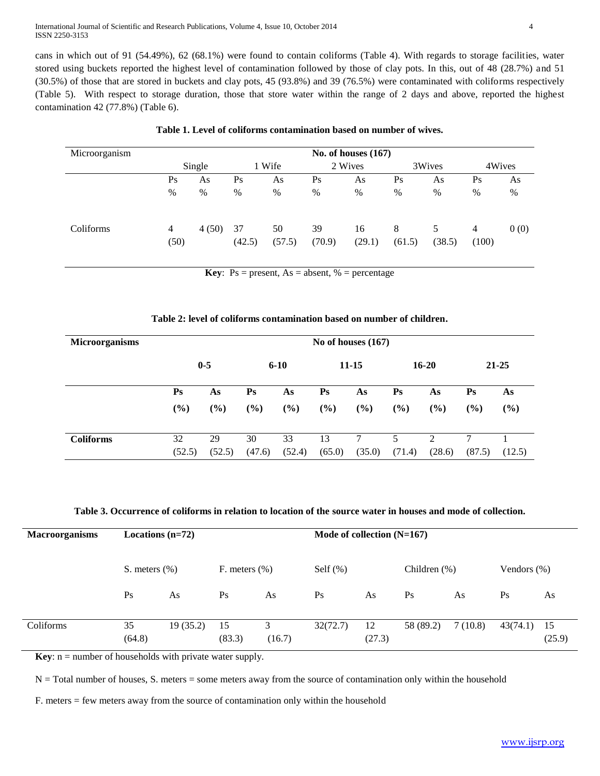International Journal of Scientific and Research Publications, Volume 4, Issue 10, October 2014 4 ISSN 2250-3153

cans in which out of 91 (54.49%), 62 (68.1%) were found to contain coliforms (Table 4). With regards to storage facilities, water stored using buckets reported the highest level of contamination followed by those of clay pots. In this, out of 48 (28.7%) and 51 (30.5%) of those that are stored in buckets and clay pots, 45 (93.8%) and 39 (76.5%) were contaminated with coliforms respectively (Table 5). With respect to storage duration, those that store water within the range of 2 days and above, reported the highest contamination 42 (77.8%) (Table 6).

| Microorganism | No. of houses $(167)$ |       |              |              |              |              |             |             |            |      |
|---------------|-----------------------|-------|--------------|--------------|--------------|--------------|-------------|-------------|------------|------|
|               | Single                |       | 1 Wife       |              | 2 Wives      |              | 3Wives      |             | 4Wives     |      |
|               | Ps                    | As    | Ps           | As           | Ps           | As           | Ps          | As          | Ps         | As   |
|               | %                     | $\%$  | %            | %            | $\%$         | $\%$         | $\%$        | $\%$        | %          | %    |
| Coliforms     | 4<br>(50)             | 4(50) | 37<br>(42.5) | 50<br>(57.5) | 39<br>(70.9) | 16<br>(29.1) | 8<br>(61.5) | 5<br>(38.5) | 4<br>(100) | 0(0) |

**Table 1. Level of coliforms contamination based on number of wives.**

**Key**:  $Ps = present$ ,  $As = absent$ ,  $% = percentage$ 

#### **Table 2: level of coliforms contamination based on number of children.**

| <b>Microorganisms</b> | No of houses $(167)$      |        |                        |        |                           |        |                           |               |                           |        |  |
|-----------------------|---------------------------|--------|------------------------|--------|---------------------------|--------|---------------------------|---------------|---------------------------|--------|--|
|                       | $0 - 5$                   |        | $6 - 10$               |        | $11 - 15$                 |        | $16 - 20$                 |               | $21 - 25$                 |        |  |
|                       | $\mathbf{P}_{\mathbf{S}}$ | As     | $\mathbf{P}\mathbf{s}$ | As     | $\mathbf{P}_{\mathbf{S}}$ | As     | $\mathbf{P}_{\mathbf{S}}$ | As            | $\mathbf{P}_{\mathbf{S}}$ | As     |  |
|                       | (%)                       | (%)    | (%)                    | (%)    | $(\%)$                    | $(\%)$ | $(\%)$                    | $(\%)$        | $(\%)$                    | $(\%)$ |  |
|                       |                           |        |                        |        |                           |        |                           |               |                           |        |  |
| <b>Coliforms</b>      | 32                        | 29     | 30                     | 33     | 13                        |        | 5                         | $\mathcal{D}$ | 7                         |        |  |
|                       | (52.5)                    | (52.5) | (47.6)                 | (52.4) | (65.0)                    | (35.0) | (71.4)                    | (28.6)        | (87.5)                    | (12.5) |  |

**Table 3. Occurrence of coliforms in relation to location of the source water in houses and mode of collection.**

| <b>Macroorganisms</b> |                  | Locations $(n=72)$ |                  |             | Mode of collection $(N=167)$ |              |                 |         |                 |              |  |  |
|-----------------------|------------------|--------------------|------------------|-------------|------------------------------|--------------|-----------------|---------|-----------------|--------------|--|--|
|                       | S. meters $(\%)$ |                    | F. meters $(\%)$ |             | Self $(\% )$                 |              | Children $(\%)$ |         | Vendors $(\% )$ |              |  |  |
|                       | Ps               | As                 | Ps               | As          | Ps                           | As           | Ps              | As      | Ps              | As           |  |  |
| Coliforms             | 35<br>(64.8)     | 19(35.2)           | 15<br>(83.3)     | 3<br>(16.7) | 32(72.7)                     | 12<br>(27.3) | 58 (89.2)       | 7(10.8) | 43(74.1)        | 15<br>(25.9) |  |  |

**Key**: n = number of households with private water supply.

 $N =$  Total number of houses, S. meters = some meters away from the source of contamination only within the household

F. meters = few meters away from the source of contamination only within the household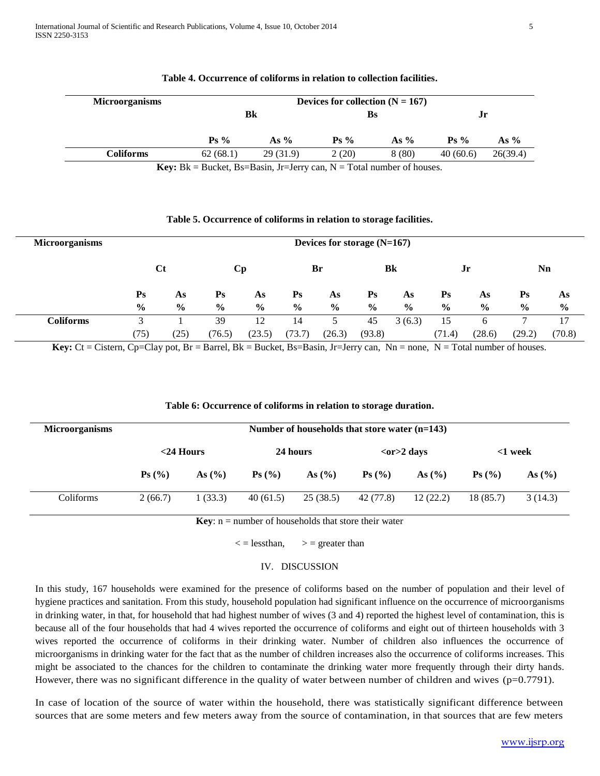| <b>Microorganisms</b> |          | Devices for collection $(N = 167)$ |         |        |                  |          |  |  |  |  |  |
|-----------------------|----------|------------------------------------|---------|--------|------------------|----------|--|--|--|--|--|
|                       |          | Bk                                 | Bs      |        | Jr               |          |  |  |  |  |  |
|                       | $Ps\%$   | As $%$                             | $Ps \%$ | As $%$ | $\mathbf{P}$ s % | As $%$   |  |  |  |  |  |
| <b>Coliforms</b>      | 62(68.1) | 29(31.9)                           | 2(20)   | 8(80)  | 40(60.6)         | 26(39.4) |  |  |  |  |  |

#### **Table 4. Occurrence of coliforms in relation to collection facilities.**

**Key:**  $Bk = Bucket, Bs = Basin, Jr = Jerry can, N = Total number of houses.$ 

#### **Table 5. Occurrence of coliforms in relation to storage facilities.**

| <b>Microorganisms</b> |                           |                                                           |                           |               |                           | Devices for storage $(N=167)$ |                |               |                           |               |                           |        |
|-----------------------|---------------------------|-----------------------------------------------------------|---------------------------|---------------|---------------------------|-------------------------------|----------------|---------------|---------------------------|---------------|---------------------------|--------|
|                       |                           | Bk<br>Br<br>Nn<br>$C_{t}$<br>$\mathbf{C}\mathbf{p}$<br>Jr |                           |               |                           |                               |                |               |                           |               |                           |        |
|                       | $\mathbf{P}_{\mathbf{S}}$ | As                                                        | $\mathbf{P}_{\mathbf{S}}$ | As            | $\mathbf{P}_{\mathbf{S}}$ | As                            | $\mathbf{P}$ s | As            | $\mathbf{P}_{\mathbf{S}}$ | As            | $\mathbf{P}_{\mathbf{S}}$ | As     |
|                       | $\frac{6}{9}$             | $\frac{6}{9}$                                             | $\frac{6}{9}$             | $\frac{6}{9}$ | $\frac{6}{6}$             | $\frac{6}{9}$                 | $\frac{0}{0}$  | $\frac{6}{9}$ | $\frac{6}{9}$             | $\frac{6}{9}$ | $\%$                      | $\%$   |
| <b>Coliforms</b>      | 3                         |                                                           | 39                        | 12            | 14                        | 5                             | 45             | 3(6.3)        | 15                        | 6             |                           | 17     |
|                       | (75)                      | (25)                                                      | (76.5)                    | (23.5)        | (73.7)                    | (26.3)                        | (93.8)         |               | (71.4)                    | (28.6)        | (29.2)                    | (70.8) |

**Key:**  $Ct = C$ istern,  $Cp = Clay$  pot,  $Br = Barrel$ ,  $Bk = Bucket$ ,  $Bs = Basin$ ,  $Jr = Jerry$  can,  $Nn = none$ ,  $N = Total$  number of houses.

#### **Table 6: Occurrence of coliforms in relation to storage duration.**

| <b>Microorganisms</b> | Number of households that store water $(n=143)$ |              |                   |            |                               |             |                               |          |  |  |
|-----------------------|-------------------------------------------------|--------------|-------------------|------------|-------------------------------|-------------|-------------------------------|----------|--|--|
|                       |                                                 | $<$ 24 Hours |                   | 24 hours   |                               | $or>2$ days | $<$ 1 week                    |          |  |  |
|                       | $\mathbf{P}_s(\mathcal{C}_0)$                   | As $(\% )$   | $\mathbf{Ps}$ (%) | As $(\% )$ | $\mathbf{P}_s(\mathcal{C}_0)$ | As $(\% )$  | $\mathbf{P}_s(\mathcal{C}_0)$ | As $(\%$ |  |  |
| Coliforms             | 2(66.7)                                         | 1(33.3)      | 40(61.5)          | 25(38.5)   | 42 (77.8)                     | 12(22.2)    | 18(85.7)                      | 3(14.3)  |  |  |

**Key**:  $n =$  number of households that store their water

 $\langle$  = lessthan,  $\rangle$  = greater than

#### IV. DISCUSSION

In this study, 167 households were examined for the presence of coliforms based on the number of population and their level of hygiene practices and sanitation. From this study, household population had significant influence on the occurrence of microorganisms in drinking water, in that, for household that had highest number of wives (3 and 4) reported the highest level of contamination, this is because all of the four households that had 4 wives reported the occurrence of coliforms and eight out of thirteen households with 3 wives reported the occurrence of coliforms in their drinking water. Number of children also influences the occurrence of microorganisms in drinking water for the fact that as the number of children increases also the occurrence of coliforms increases. This might be associated to the chances for the children to contaminate the drinking water more frequently through their dirty hands. However, there was no significant difference in the quality of water between number of children and wives (p=0.7791).

In case of location of the source of water within the household, there was statistically significant difference between sources that are some meters and few meters away from the source of contamination, in that sources that are few meters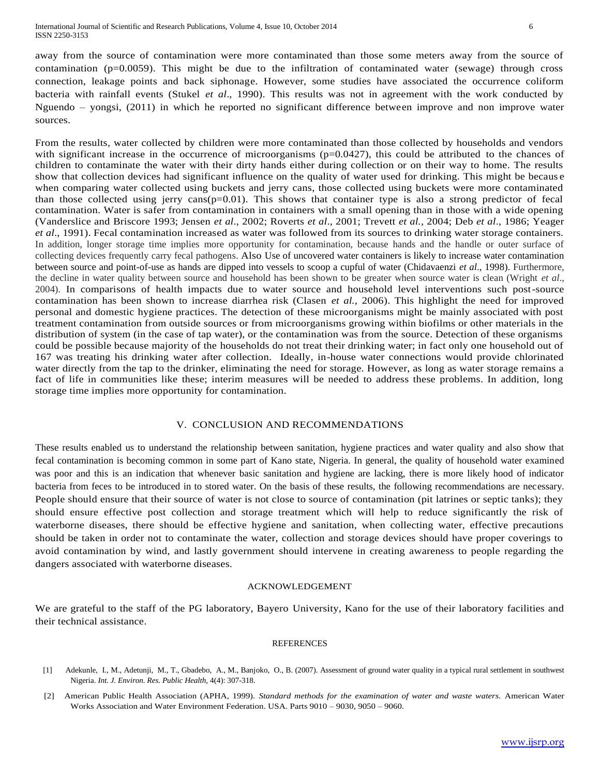away from the source of contamination were more contaminated than those some meters away from the source of contamination (p=0.0059). This might be due to the infiltration of contaminated water (sewage) through cross connection, leakage points and back siphonage. However, some studies have associated the occurrence coliform bacteria with rainfall events (Stukel *et al*., 1990). This results was not in agreement with the work conducted by Nguendo – yongsi, (2011) in which he reported no significant difference between improve and non improve water sources.

From the results, water collected by children were more contaminated than those collected by households and vendors with significant increase in the occurrence of microorganisms  $(p=0.0427)$ , this could be attributed to the chances of children to contaminate the water with their dirty hands either during collection or on their way to home. The results show that collection devices had significant influence on the quality of water used for drinking. This might be becaus e when comparing water collected using buckets and jerry cans, those collected using buckets were more contaminated than those collected using jerry cans( $p=0.01$ ). This shows that container type is also a strong predictor of fecal contamination. Water is safer from contamination in containers with a small opening than in those with a wide opening (Vanderslice and Briscore 1993; Jensen *et al*., 2002; Roverts *et al*., 2001; Trevett *et al.*, 2004; Deb *et al*., 1986; Yeager *et al*., 1991). Fecal contamination increased as water was followed from its sources to drinking water storage containers. In addition, longer storage time implies more opportunity for contamination, because hands and the handle or outer surface of collecting devices frequently carry fecal pathogens. Also Use of uncovered water containers is likely to increase water contamination between source and point-of-use as hands are dipped into vessels to scoop a cupful of water (Chidavaenzi *et al*., 1998). Furthermore, the decline in water quality between source and household has been shown to be greater when source water is clean (Wright *et al*., 2004). In comparisons of health impacts due to water source and household level interventions such post-source contamination has been shown to increase diarrhea risk (Clasen *et al.,* 2006). This highlight the need for improved personal and domestic hygiene practices. The detection of these microorganisms might be mainly associated with post treatment contamination from outside sources or from microorganisms growing within biofilms or other materials in the distribution of system (in the case of tap water), or the contamination was from the source. Detection of these organisms could be possible because majority of the households do not treat their drinking water; in fact only one household out of 167 was treating his drinking water after collection. Ideally, in-house water connections would provide chlorinated water directly from the tap to the drinker, eliminating the need for storage. However, as long as water storage remains a fact of life in communities like these; interim measures will be needed to address these problems. In addition, long storage time implies more opportunity for contamination.

#### V. CONCLUSION AND RECOMMENDATIONS

These results enabled us to understand the relationship between sanitation, hygiene practices and water quality and also show that fecal contamination is becoming common in some part of Kano state, Nigeria. In general, the quality of household water examined was poor and this is an indication that whenever basic sanitation and hygiene are lacking, there is more likely hood of indicator bacteria from feces to be introduced in to stored water. On the basis of these results, the following recommendations are necessary. People should ensure that their source of water is not close to source of contamination (pit latrines or septic tanks); they should ensure effective post collection and storage treatment which will help to reduce significantly the risk of waterborne diseases, there should be effective hygiene and sanitation, when collecting water, effective precautions should be taken in order not to contaminate the water, collection and storage devices should have proper coverings to avoid contamination by wind, and lastly government should intervene in creating awareness to people regarding the dangers associated with waterborne diseases.

#### ACKNOWLEDGEMENT

We are grateful to the staff of the PG laboratory, Bayero University, Kano for the use of their laboratory facilities and their technical assistance.

#### REFERENCES

- [1] Adekunle, I., M., Adetunji, M., T., Gbadebo, A., M., Banjoko, O., B. (2007). Assessment of ground water quality in a typical rural settlement in southwest Nigeria. *Int. J. Environ. Res. Public Health,* 4(4): 307-318.
- [2] American Public Health Association (APHA, 1999). *Standard methods for the examination of water and waste waters.* American Water Works Association and Water Environment Federation. USA. Parts 9010 – 9030, 9050 – 9060.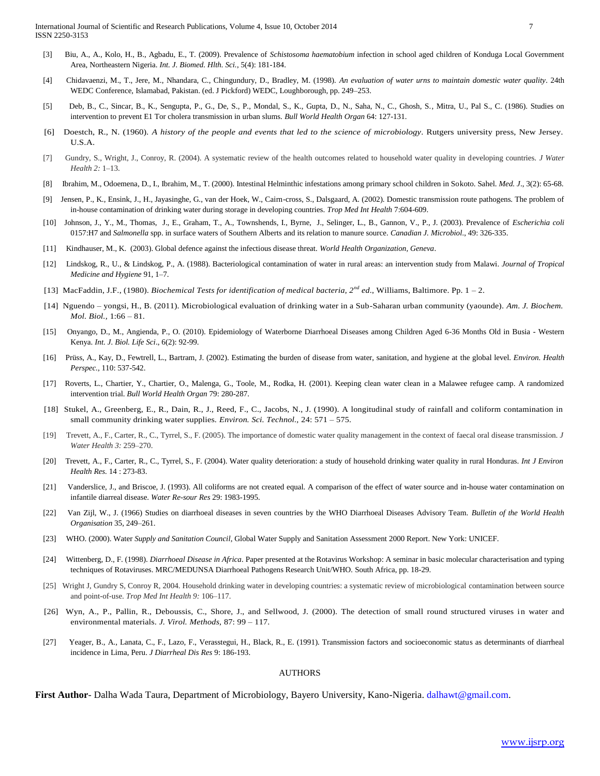- [3] Biu, A., A., Kolo, H., B., Agbadu, E., T. (2009). Prevalence of *Schistosoma haematobium* infection in school aged children of Konduga Local Government Area, Northeastern Nigeria. *Int. J. Biomed. Hlth. Sci.*, 5(4): 181-184.
- [4] Chidavaenzi, M., T., Jere, M., Nhandara, C., Chingundury, D., Bradley, M. (1998). *An evaluation of water urns to maintain domestic water quality*. 24th WEDC Conference, Islamabad, Pakistan. (ed. J Pickford) WEDC, Loughborough, pp. 249–253.
- [5] Deb, B., C., Sincar, B., K., Sengupta, P., G., De, S., P., Mondal, S., K., Gupta, D., N., Saha, N., C., Ghosh, S., Mitra, U., Pal S., C. (1986). Studies on intervention to prevent E1 Tor cholera transmission in urban slums. *Bull World Health Organ* 64: 127-131.
- [6] Doestch, R., N. (1960). *A history of the people and events that led to the science of microbiology*. Rutgers university press, New Jersey. U.S.A.
- [7] Gundry, S., Wright, J., Conroy, R. (2004). A systematic review of the health outcomes related to household water quality in developing countries. *J Water Health 2:* 1–13.
- [8] Ibrahim, M., Odoemena, D., I., Ibrahim, M., T. (2000). Intestinal Helminthic infestations among primary school children in Sokoto. Sahel. *Med. J*., 3(2): 65-68.
- [9] Jensen, P., K., Ensink, J., H., Jayasinghe, G., van der Hoek, W., Cairn-cross, S., Dalsgaard, A. (2002). Domestic transmission route pathogens. The problem of in-house contamination of drinking water during storage in developing countries. *Trop Med Int Health* 7:604-609.
- [10] Johnson, J., Y., M., Thomas, J., E., Graham, T., A., Townshends, I., Byrne, J., Selinger, L., B., Gannon, V., P., J. (2003). Prevalence of *Escherichia coli* 0157:H7 and *Salmonella* spp. in surface waters of Southern Alberts and its relation to manure source. *Canadian J. Microbiol.*, 49: 326-335.
- [11] Kindhauser, M., K. (2003). Global defence against the infectious disease threat. *World Health Organization, Geneva*.
- [12] Lindskog, R., U., & Lindskog, P., A. (1988). Bacteriological contamination of water in rural areas: an intervention study from Malawi. *Journal of Tropical Medicine and Hygiene* 91, 1–7.
- [13] MacFaddin, J.F., (1980). *Biochemical Tests for identification of medical bacteria, 2nd ed*., Williams, Baltimore. Pp. 1 2.
- [14] Nguendo yongsi, H., B. (2011). Microbiological evaluation of drinking water in a Sub-Saharan urban community (yaounde). *Am. J. Biochem. Mol. Biol.,* 1:66 – 81.
- [15] Onyango, D., M., Angienda, P., O. (2010). Epidemiology of Waterborne Diarrhoeal Diseases among Children Aged 6-36 Months Old in Busia Western Kenya. *Int. J. Biol. Life Sci*., 6(2): 92-99.
- [16] Prüss, A., Kay, D., Fewtrell, L., Bartram, J. (2002). Estimating the burden of disease from water, sanitation, and hygiene at the global level. *Environ. Health Perspec.,* 110: 537-542.
- [17] Roverts, L., Chartier, Y., Chartier, O., Malenga, G., Toole, M., Rodka, H. (2001). Keeping clean water clean in a Malawee refugee camp. A randomized intervention trial. *Bull World Health Organ* 79: 280-287.
- [18] Stukel, A., Greenberg, E., R., Dain, R., J., Reed, F., C., Jacobs, N., J. (1990). A longitudinal study of rainfall and coliform contamination in small community drinking water supplies. *Environ. Sci. Technol.,* 24: 571 – 575.
- [19] Trevett, A., F., Carter, R., C., Tyrrel, S., F. (2005). The importance of domestic water quality management in the context of faecal oral disease transmission. *J Water Health 3:* 259–270.
- [20] Trevett, A., F., Carter, R., C., Tyrrel, S., F. (2004). Water quality deterioration: a study of household drinking water quality in rural Honduras. *Int J Environ Health Res.* 14 : 273-83.
- [21] Vanderslice, J., and Briscoe, J. (1993). All coliforms are not created equal. A comparison of the effect of water source and in-house water contamination on infantile diarreal disease. *Water Re-sour Res* 29: 1983-1995.
- [22] Van Zijl, W., J. (1966) Studies on diarrhoeal diseases in seven countries by the WHO Diarrhoeal Diseases Advisory Team. *Bulletin of the World Health Organisation* 35, 249–261.
- [23] WHO. (2000). Water *Supply and Sanitation Council*, Global Water Supply and Sanitation Assessment 2000 Report. New York: UNICEF.
- [24] Wittenberg, D., F. (1998). *Diarrhoeal Disease in Africa*. Paper presented at the Rotavirus Workshop: A seminar in basic molecular characterisation and typing techniques of Rotaviruses. MRC/MEDUNSA Diarrhoeal Pathogens Research Unit/WHO*.* South Africa, pp. 18-29.
- [25] Wright J, Gundry S, Conroy R, 2004. Household drinking water in developing countries: a systematic review of microbiological contamination between source and point-of-use. *Trop Med Int Health 9:* 106–117.
- [26] Wyn, A., P., Pallin, R., Deboussis, C., Shore, J., and Sellwood, J. (2000). The detection of small round structured viruses in water and environmental materials. *J. Virol. Methods,* 87: 99 – 117.
- [27] Yeager, B., A., Lanata, C., F., Lazo, F., Verasstegui, H., Black, R., E. (1991). Transmission factors and socioeconomic status as determinants of diarrheal incidence in Lima, Peru. *J Diarrheal Dis Res* 9: 186-193.

#### **AUTHORS**

**First Author**- Dalha Wada Taura, Department of Microbiology, Bayero University, Kano-Nigeria[. dalhawt@gmail.com.](mailto:dalhawt@gmail.com)